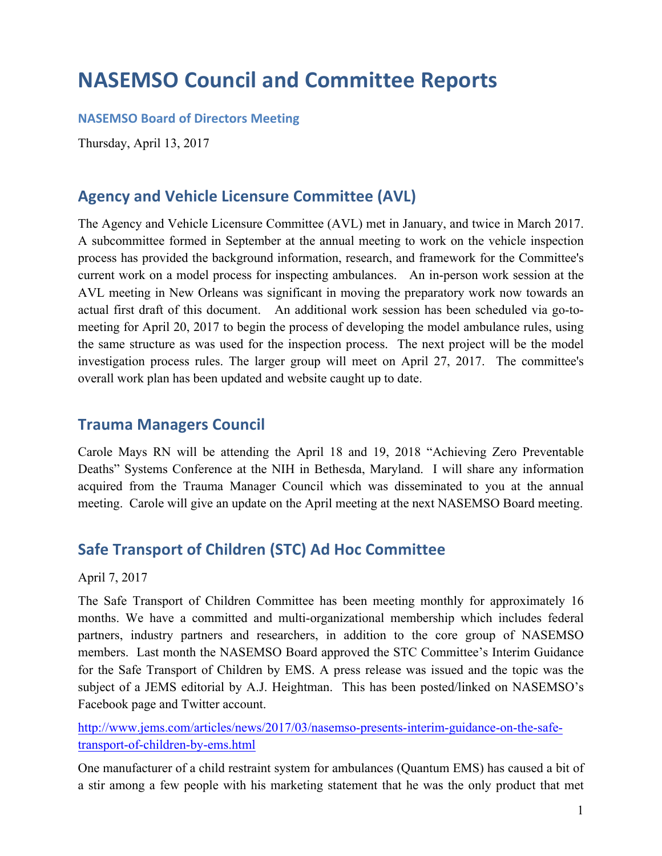## **NASEMSO Council and Committee Reports**

**NASEMSO Board of Directors Meeting** 

Thursday, April 13, 2017

### **Agency and Vehicle Licensure Committee (AVL)**

The Agency and Vehicle Licensure Committee (AVL) met in January, and twice in March 2017. A subcommittee formed in September at the annual meeting to work on the vehicle inspection process has provided the background information, research, and framework for the Committee's current work on a model process for inspecting ambulances. An in-person work session at the AVL meeting in New Orleans was significant in moving the preparatory work now towards an actual first draft of this document. An additional work session has been scheduled via go-tomeeting for April 20, 2017 to begin the process of developing the model ambulance rules, using the same structure as was used for the inspection process. The next project will be the model investigation process rules. The larger group will meet on April 27, 2017. The committee's overall work plan has been updated and website caught up to date.

#### **Trauma Managers Council**

Carole Mays RN will be attending the April 18 and 19, 2018 "Achieving Zero Preventable Deaths" Systems Conference at the NIH in Bethesda, Maryland. I will share any information acquired from the Trauma Manager Council which was disseminated to you at the annual meeting. Carole will give an update on the April meeting at the next NASEMSO Board meeting.

#### **Safe Transport of Children (STC) Ad Hoc Committee**

April 7, 2017

The Safe Transport of Children Committee has been meeting monthly for approximately 16 months. We have a committed and multi-organizational membership which includes federal partners, industry partners and researchers, in addition to the core group of NASEMSO members. Last month the NASEMSO Board approved the STC Committee's Interim Guidance for the Safe Transport of Children by EMS. A press release was issued and the topic was the subject of a JEMS editorial by A.J. Heightman. This has been posted/linked on NASEMSO's Facebook page and Twitter account.

[http://www.jems.com/articles/news/2017/03/nasemso-presents-interim-guidance-on-the-safe](http://www.jems.com/articles/news/2017/03/nasemso-presents-interim-guidance-on-the-safe-transport-of-children-by-ems.html)[transport-of-children-by-ems.html](http://www.jems.com/articles/news/2017/03/nasemso-presents-interim-guidance-on-the-safe-transport-of-children-by-ems.html)

One manufacturer of a child restraint system for ambulances (Quantum EMS) has caused a bit of a stir among a few people with his marketing statement that he was the only product that met